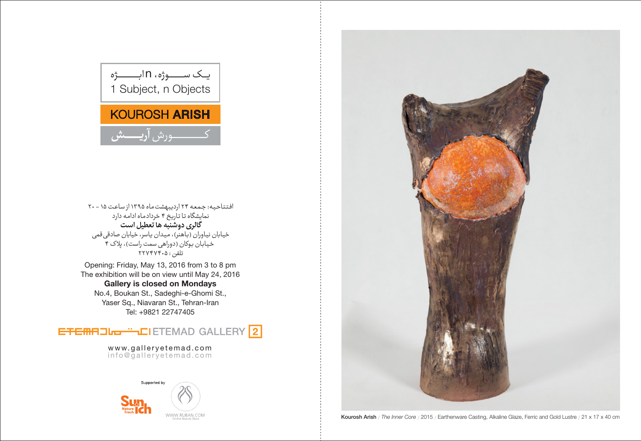افتتاحیه: جمعه ٢۴ اردیبهشت ماه ١٣٩۵ از ساعت ١۵ - ٢٠ نمایشگاه تا تاریخ ۴ خردادماه ادامه دارد<br>گ**الری دوشنبه ها تعطیل است** خيابان نياوران (باهنر)، ميدان ياسر، خيابان صادقي قمي ے ۔<br>خیابان بوکان (دوراھی سمت راست)، پلاک ۴<br>تلفن : ۲۲۷۴۷۴۰۵

Opening: Friday, May 13, 2016 from 3 to 8 pm The exhibition will be on view until May 24, 2016 **Gallery is closed on Mondays** No.4, Boukan St., Sadeghi-e-Ghomi St., Yaser Sq., Niavaran St., Tehran-Iran Tel: +9821 22747405



www.galleryetemad.com<br>info@galleryetemad.com





Kourosh Arish / The Inner Core / 2015 / Earthenware Casting, Alkaline Glaze, Ferric and Gold Lustre / 21 x 17 x 40 cm